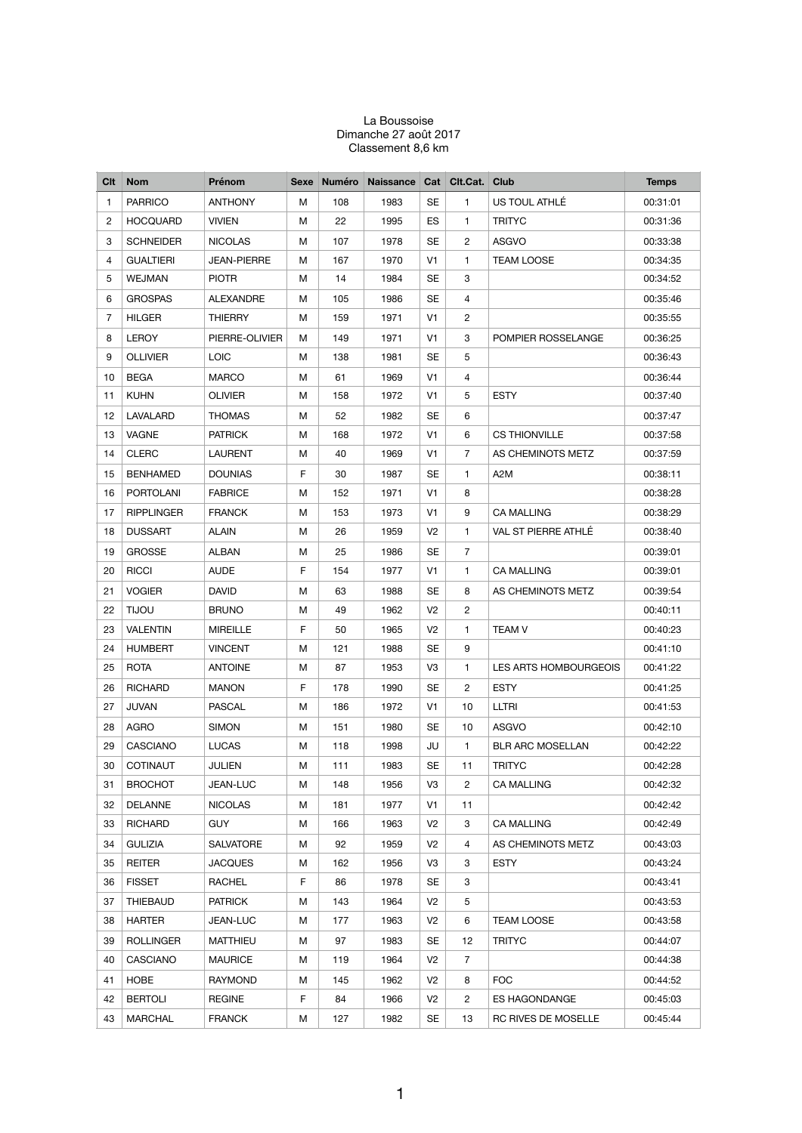## La Boussoise Dimanche 27 août 2017 Classement 8,6 km

| Clt | <b>Nom</b>        | Prénom             |    | Sexe Numéro | <b>Naissance</b> |                | Cat Clt.Cat. Club |                         | <b>Temps</b> |
|-----|-------------------|--------------------|----|-------------|------------------|----------------|-------------------|-------------------------|--------------|
| 1   | <b>PARRICO</b>    | <b>ANTHONY</b>     | м  | 108         | 1983             | SE             | 1                 | US TOUL ATHLÉ           | 00:31:01     |
| 2   | <b>HOCQUARD</b>   | <b>VIVIEN</b>      | М  | 22          | 1995             | ES             | $\mathbf{1}$      | <b>TRITYC</b>           | 00:31:36     |
| 3   | <b>SCHNEIDER</b>  | <b>NICOLAS</b>     | м  | 107         | 1978             | SE             | 2                 | ASGVO                   | 00:33:38     |
| 4   | <b>GUALTIERI</b>  | <b>JEAN-PIERRE</b> | М  | 167         | 1970             | V1             | 1                 | <b>TEAM LOOSE</b>       | 00:34:35     |
| 5   | WEJMAN            | <b>PIOTR</b>       | М  | 14          | 1984             | SE             | 3                 |                         | 00:34:52     |
| 6   | <b>GROSPAS</b>    | ALEXANDRE          | М  | 105         | 1986             | SE             | 4                 |                         | 00:35:46     |
| 7   | HILGER            | <b>THIERRY</b>     | м  | 159         | 1971             | V1             | $\overline{c}$    |                         | 00:35:55     |
| 8   | <b>LEROY</b>      | PIERRE-OLIVIER     | м  | 149         | 1971             | V1             | 3                 | POMPIER ROSSELANGE      | 00:36:25     |
| 9   | <b>OLLIVIER</b>   | <b>LOIC</b>        | м  | 138         | 1981             | SE             | 5                 |                         | 00:36:43     |
| 10  | <b>BEGA</b>       | <b>MARCO</b>       | М  | 61          | 1969             | V1             | 4                 |                         | 00:36:44     |
| 11  | <b>KUHN</b>       | <b>OLIVIER</b>     | M  | 158         | 1972             | V1             | 5                 | <b>ESTY</b>             | 00:37:40     |
| 12  | LAVALARD          | <b>THOMAS</b>      | M  | 52          | 1982             | SE             | 6                 |                         | 00:37:47     |
| 13  | <b>VAGNE</b>      | <b>PATRICK</b>     | М  | 168         | 1972             | V1             | 6                 | <b>CS THIONVILLE</b>    | 00:37:58     |
| 14  | <b>CLERC</b>      | <b>LAURENT</b>     | М  | 40          | 1969             | V <sub>1</sub> | $\overline{7}$    | AS CHEMINOTS METZ       | 00:37:59     |
| 15  | <b>BENHAMED</b>   | <b>DOUNIAS</b>     | F. | 30          | 1987             | SE             | 1                 | A2M                     | 00:38:11     |
| 16  | <b>PORTOLANI</b>  | <b>FABRICE</b>     | М  | 152         | 1971             | V1             | 8                 |                         | 00:38:28     |
| 17  | <b>RIPPLINGER</b> | <b>FRANCK</b>      | M  | 153         | 1973             | V1             | 9                 | <b>CA MALLING</b>       | 00:38:29     |
| 18  | <b>DUSSART</b>    | ALAIN              | М  | 26          | 1959             | V <sub>2</sub> | 1                 | VAL ST PIERRE ATHLÉ     | 00:38:40     |
| 19  | <b>GROSSE</b>     | ALBAN              | М  | 25          | 1986             | SE             | $\overline{7}$    |                         | 00:39:01     |
| 20  | <b>RICCI</b>      | <b>AUDE</b>        | F  | 154         | 1977             | V1             | 1                 | <b>CA MALLING</b>       | 00:39:01     |
| 21  | <b>VOGIER</b>     | <b>DAVID</b>       | М  | 63          | 1988             | SE             | 8                 | AS CHEMINOTS METZ       | 00:39:54     |
| 22  | <b>UOLIT</b>      | <b>BRUNO</b>       | M  | 49          | 1962             | V <sub>2</sub> | 2                 |                         | 00:40:11     |
| 23  | <b>VALENTIN</b>   | <b>MIREILLE</b>    | F. | 50          | 1965             | V <sub>2</sub> | 1                 | <b>TEAM V</b>           | 00:40:23     |
| 24  | <b>HUMBERT</b>    | <b>VINCENT</b>     | М  | 121         | 1988             | SE             | 9                 |                         | 00:41:10     |
| 25  | <b>ROTA</b>       | ANTOINE            | M  | 87          | 1953             | V <sub>3</sub> | 1                 | LES ARTS HOMBOURGEOIS   | 00:41:22     |
| 26  | <b>RICHARD</b>    | <b>MANON</b>       | F  | 178         | 1990             | SE             | $\overline{c}$    | <b>ESTY</b>             | 00:41:25     |
| 27  | JUVAN             | PASCAL             | M  | 186         | 1972             | V1             | 10                | LLTRI                   | 00:41:53     |
| 28  | AGRO              | <b>SIMON</b>       | М  | 151         | 1980             | SE             | 10                | ASGVO                   | 00:42:10     |
| 29  | <b>CASCIANO</b>   | <b>LUCAS</b>       | М  | 118         | 1998             | JU             | 1                 | <b>BLR ARC MOSELLAN</b> | 00:42:22     |
| 30  | <b>COTINAUT</b>   | JULIEN             | М  | 111         | 1983             | SE             | 11                | <b>TRITYC</b>           | 00:42:28     |
| 31  | <b>BROCHOT</b>    | <b>JEAN-LUC</b>    | м  | 148         | 1956             | V3             | $\overline{c}$    | <b>CA MALLING</b>       | 00:42:32     |
| 32  | <b>DELANNE</b>    | <b>NICOLAS</b>     | М  | 181         | 1977             | V1             | 11                |                         | 00:42:42     |
| 33  | <b>RICHARD</b>    | <b>GUY</b>         | м  | 166         | 1963             | V <sub>2</sub> | 3                 | CA MALLING              | 00:42:49     |
| 34  | <b>GULIZIA</b>    | SALVATORE          | м  | 92          | 1959             | V <sub>2</sub> | 4                 | AS CHEMINOTS METZ       | 00:43:03     |
| 35  | <b>REITER</b>     | <b>JACQUES</b>     | м  | 162         | 1956             | V3             | 3                 | <b>ESTY</b>             | 00:43:24     |
| 36  | <b>FISSET</b>     | RACHEL             | F. | 86          | 1978             | SE             | 3                 |                         | 00:43:41     |
| 37  | THIEBAUD          | <b>PATRICK</b>     | м  | 143         | 1964             | V <sub>2</sub> | 5                 |                         | 00:43:53     |
| 38  | HARTER            | JEAN-LUC           | М  | 177         | 1963             | V <sub>2</sub> | 6                 | TEAM LOOSE              | 00:43:58     |
| 39  | ROLLINGER         | MATTHIEU           | М  | 97          | 1983             | SE             | 12                | TRITYC                  | 00:44:07     |
| 40  | <b>CASCIANO</b>   | <b>MAURICE</b>     | м  | 119         | 1964             | V <sub>2</sub> | 7                 |                         | 00:44:38     |
| 41  | HOBE              | RAYMOND            | м  | 145         | 1962             | V <sub>2</sub> | 8                 | <b>FOC</b>              | 00:44:52     |
| 42  | <b>BERTOLI</b>    | <b>REGINE</b>      | F. | 84          | 1966             | V <sub>2</sub> | 2                 | ES HAGONDANGE           | 00:45:03     |
| 43  | <b>MARCHAL</b>    | <b>FRANCK</b>      | м  | 127         | 1982             | <b>SE</b>      | 13                | RC RIVES DE MOSELLE     | 00:45:44     |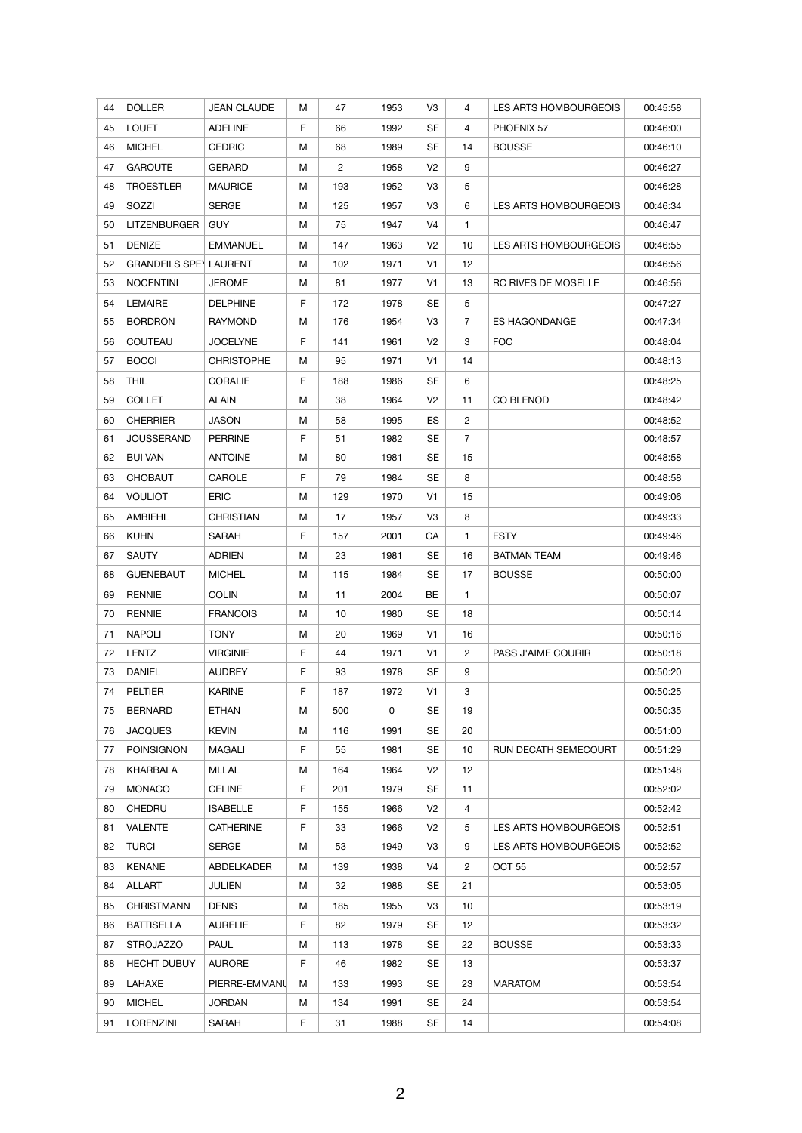| 44 | <b>DOLLER</b>                 | JEAN CLAUDE       | М  | 47             | 1953 | V3             | 4              | LES ARTS HOMBOURGEOIS | 00:45:58 |
|----|-------------------------------|-------------------|----|----------------|------|----------------|----------------|-----------------------|----------|
| 45 | <b>LOUET</b>                  | <b>ADELINE</b>    | F  | 66             | 1992 | SE             | 4              | PHOENIX 57            | 00:46:00 |
| 46 | <b>MICHEL</b>                 | <b>CEDRIC</b>     | M  | 68             | 1989 | SE             | 14             | <b>BOUSSE</b>         | 00:46:10 |
| 47 | <b>GAROUTE</b>                | <b>GERARD</b>     | М  | $\overline{2}$ | 1958 | V <sub>2</sub> | 9              |                       | 00:46:27 |
| 48 | <b>TROESTLER</b>              | <b>MAURICE</b>    | м  | 193            | 1952 | V <sub>3</sub> | 5              |                       | 00:46:28 |
| 49 | SOZZI                         | <b>SERGE</b>      | м  | 125            | 1957 | V <sub>3</sub> | 6              | LES ARTS HOMBOURGEOIS | 00:46:34 |
| 50 | LITZENBURGER                  | <b>GUY</b>        | М  | 75             | 1947 | V4             | $\mathbf{1}$   |                       | 00:46:47 |
| 51 | <b>DENIZE</b>                 | <b>EMMANUEL</b>   | М  | 147            | 1963 | V <sub>2</sub> | 10             | LES ARTS HOMBOURGEOIS | 00:46:55 |
| 52 | <b>GRANDFILS SPEY LAURENT</b> |                   | М  | 102            | 1971 | V <sub>1</sub> | 12             |                       | 00:46:56 |
| 53 | <b>NOCENTINI</b>              | JEROME            | М  | 81             | 1977 | V <sub>1</sub> | 13             | RC RIVES DE MOSELLE   | 00:46:56 |
| 54 | <b>LEMAIRE</b>                | <b>DELPHINE</b>   | F  | 172            | 1978 | SE             | 5              |                       | 00:47:27 |
| 55 | <b>BORDRON</b>                | <b>RAYMOND</b>    | М  | 176            | 1954 | V3             | 7              | <b>ES HAGONDANGE</b>  | 00:47:34 |
| 56 | <b>COUTEAU</b>                | JOCELYNE          | F  | 141            | 1961 | V <sub>2</sub> | 3              | <b>FOC</b>            | 00:48:04 |
| 57 | <b>BOCCI</b>                  | <b>CHRISTOPHE</b> | М  | 95             | 1971 | V <sub>1</sub> | 14             |                       | 00:48:13 |
| 58 | <b>THIL</b>                   | <b>CORALIE</b>    | F. | 188            | 1986 | SE             | 6              |                       | 00:48:25 |
| 59 | <b>COLLET</b>                 | ALAIN             | М  | 38             | 1964 | V <sub>2</sub> | 11             | CO BLENOD             | 00:48:42 |
| 60 | <b>CHERRIER</b>               | <b>JASON</b>      | м  | 58             | 1995 | ES             | $\overline{2}$ |                       | 00:48:52 |
| 61 | JOUSSERAND                    | <b>PERRINE</b>    | F  | 51             | 1982 | SE             | 7              |                       | 00:48:57 |
| 62 | <b>BUI VAN</b>                | <b>ANTOINE</b>    | М  | 80             | 1981 | SE             | 15             |                       | 00:48:58 |
| 63 | <b>CHOBAUT</b>                | CAROLE            | F. | 79             | 1984 | SE             | 8              |                       | 00:48:58 |
| 64 | <b>VOULIOT</b>                | <b>ERIC</b>       | М  | 129            | 1970 | V <sub>1</sub> | 15             |                       | 00:49:06 |
| 65 | AMBIEHL                       | <b>CHRISTIAN</b>  | М  | 17             | 1957 | V <sub>3</sub> | 8              |                       | 00:49:33 |
| 66 | <b>KUHN</b>                   | SARAH             | F  | 157            | 2001 | CA             | 1              | <b>ESTY</b>           | 00:49:46 |
| 67 | <b>SAUTY</b>                  | <b>ADRIEN</b>     | м  | 23             | 1981 | SE             | 16             | <b>BATMAN TEAM</b>    | 00:49:46 |
| 68 | <b>GUENEBAUT</b>              | <b>MICHEL</b>     | M  | 115            | 1984 | SE             | 17             | <b>BOUSSE</b>         | 00:50:00 |
| 69 | <b>RENNIE</b>                 | <b>COLIN</b>      | м  | 11             | 2004 | BE             | $\mathbf{1}$   |                       | 00:50:07 |
| 70 | <b>RENNIE</b>                 | <b>FRANCOIS</b>   | м  | 10             | 1980 | SE             | 18             |                       | 00:50:14 |
| 71 | <b>NAPOLI</b>                 | <b>TONY</b>       | М  | 20             | 1969 | V <sub>1</sub> | 16             |                       | 00:50:16 |
| 72 | <b>LENTZ</b>                  | <b>VIRGINIE</b>   | F  | 44             | 1971 | V <sub>1</sub> | $\overline{2}$ | PASS J'AIME COURIR    | 00:50:18 |
| 73 | DANIEL                        | AUDREY            | F. | 93             | 1978 | SE             | 9              |                       | 00:50:20 |
| 74 | <b>PELTIER</b>                | <b>KARINE</b>     | F. | 187            | 1972 | V1             | 3              |                       | 00:50:25 |
| 75 | <b>BERNARD</b>                | <b>ETHAN</b>      | M  | 500            | 0    | SE             | 19             |                       | 00:50:35 |
| 76 | <b>JACQUES</b>                | <b>KEVIN</b>      | М  | 116            | 1991 | SE             | 20             |                       | 00:51:00 |
| 77 | <b>POINSIGNON</b>             | MAGALI            | F  | 55             | 1981 | SE             | 10             | RUN DECATH SEMECOURT  | 00:51:29 |
| 78 | KHARBALA                      | MLLAL             | м  | 164            | 1964 | V <sub>2</sub> | 12             |                       | 00:51:48 |
| 79 | <b>MONACO</b>                 | <b>CELINE</b>     | F  | 201            | 1979 | SE             | 11             |                       | 00:52:02 |
| 80 | CHEDRU                        | <b>ISABELLE</b>   | F  | 155            | 1966 | V <sub>2</sub> | 4              |                       | 00:52:42 |
| 81 | <b>VALENTE</b>                | <b>CATHERINE</b>  | F  | 33             | 1966 | V <sub>2</sub> | 5              | LES ARTS HOMBOURGEOIS | 00:52:51 |
| 82 | <b>TURCI</b>                  | SERGE             | м  | 53             | 1949 | V3             | 9              | LES ARTS HOMBOURGEOIS | 00:52:52 |
| 83 | <b>KENANE</b>                 | ABDELKADER        | М  | 139            | 1938 | V4             | 2              | OCT <sub>55</sub>     | 00:52:57 |
| 84 | <b>ALLART</b>                 | JULIEN            | М  | 32             | 1988 | SE             | 21             |                       | 00:53:05 |
| 85 | <b>CHRISTMANN</b>             | <b>DENIS</b>      | M  | 185            | 1955 | V3             | 10             |                       | 00:53:19 |
| 86 | <b>BATTISELLA</b>             | <b>AURELIE</b>    | F  | 82             | 1979 | SE             | 12             |                       | 00:53:32 |
| 87 | <b>STROJAZZO</b>              | <b>PAUL</b>       | М  | 113            | 1978 | SE             | 22             | <b>BOUSSE</b>         | 00:53:33 |
| 88 | <b>HECHT DUBUY</b>            | <b>AURORE</b>     | F. | 46             | 1982 | SE             | 13             |                       | 00:53:37 |
| 89 | LAHAXE                        | PIERRE-EMMANU     | м  | 133            | 1993 | SE             | 23             | <b>MARATOM</b>        | 00:53:54 |
| 90 | <b>MICHEL</b>                 | JORDAN            | М  | 134            | 1991 | SE             | 24             |                       | 00:53:54 |
| 91 | <b>LORENZINI</b>              | SARAH             | F  | 31             | 1988 | SE             | 14             |                       | 00:54:08 |
|    |                               |                   |    |                |      |                |                |                       |          |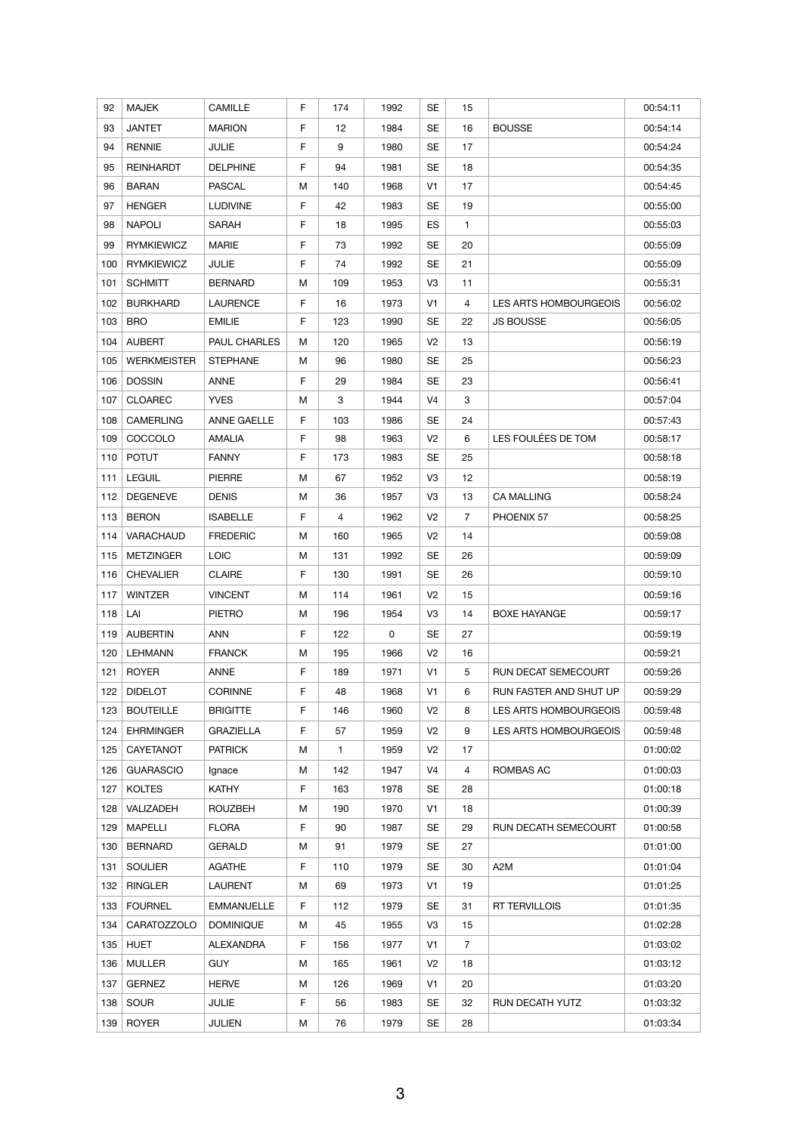| 92  | <b>MAJEK</b>       | <b>CAMILLE</b>    | F. | 174 | 1992 | SE             | 15             |                            | 00:54:11 |
|-----|--------------------|-------------------|----|-----|------|----------------|----------------|----------------------------|----------|
| 93  | <b>JANTET</b>      | <b>MARION</b>     | F  | 12  | 1984 | SE             | 16             | <b>BOUSSE</b>              | 00:54:14 |
| 94  | <b>RENNIE</b>      | <b>JULIE</b>      | F  | 9   | 1980 | SE             | 17             |                            | 00:54:24 |
| 95  | <b>REINHARDT</b>   | <b>DELPHINE</b>   | F  | 94  | 1981 | SE             | 18             |                            | 00:54:35 |
| 96  | <b>BARAN</b>       | <b>PASCAL</b>     | M  | 140 | 1968 | V1             | 17             |                            | 00:54:45 |
| 97  | <b>HENGER</b>      | <b>LUDIVINE</b>   | F. | 42  | 1983 | SE             | 19             |                            | 00:55:00 |
| 98  | <b>NAPOLI</b>      | SARAH             | F  | 18  | 1995 | ES             | $\mathbf{1}$   |                            | 00:55:03 |
| 99  | <b>RYMKIEWICZ</b>  | MARIE             | F  | 73  | 1992 | SE             | 20             |                            | 00:55:09 |
| 100 | <b>RYMKIEWICZ</b>  | JULIE             | F  | 74  | 1992 | SE             | 21             |                            | 00:55:09 |
| 101 | <b>SCHMITT</b>     | <b>BERNARD</b>    | M  | 109 | 1953 | V <sub>3</sub> | 11             |                            | 00:55:31 |
| 102 | <b>BURKHARD</b>    | <b>LAURENCE</b>   | F  | 16  | 1973 | V <sub>1</sub> | 4              | LES ARTS HOMBOURGEOIS      | 00:56:02 |
| 103 | <b>BRO</b>         | <b>EMILIE</b>     | F. | 123 | 1990 | SE             | 22             | <b>JS BOUSSE</b>           | 00:56:05 |
| 104 | <b>AUBERT</b>      | PAUL CHARLES      | м  | 120 | 1965 | V <sub>2</sub> | 13             |                            | 00:56:19 |
| 105 | <b>WERKMEISTER</b> | <b>STEPHANE</b>   | М  | 96  | 1980 | SE             | 25             |                            | 00:56:23 |
| 106 | <b>DOSSIN</b>      | ANNE              | F  | 29  | 1984 | SE             | 23             |                            | 00:56:41 |
| 107 | <b>CLOAREC</b>     | <b>YVES</b>       | м  | 3   | 1944 | V <sub>4</sub> | 3              |                            | 00:57:04 |
| 108 | <b>CAMERLING</b>   | ANNE GAELLE       | F. | 103 | 1986 | SE             | 24             |                            | 00:57:43 |
| 109 | COCCOLO            | AMALIA            | F  | 98  | 1963 | V <sub>2</sub> | 6              | LES FOULÉES DE TOM         | 00:58:17 |
| 110 | <b>POTUT</b>       | <b>FANNY</b>      | F  | 173 | 1983 | SE             | 25             |                            | 00:58:18 |
| 111 | <b>LEGUIL</b>      | <b>PIERRE</b>     | M  | 67  | 1952 | V <sub>3</sub> | 12             |                            | 00:58:19 |
| 112 | <b>DEGENEVE</b>    | <b>DENIS</b>      | M  | 36  | 1957 | V <sub>3</sub> | 13             | <b>CA MALLING</b>          | 00:58:24 |
| 113 | <b>BERON</b>       | <b>ISABELLE</b>   | F  | 4   | 1962 | V <sub>2</sub> | $\overline{7}$ | PHOENIX 57                 | 00:58:25 |
| 114 | VARACHAUD          | <b>FREDERIC</b>   | м  | 160 | 1965 | V <sub>2</sub> | 14             |                            | 00:59:08 |
| 115 | <b>METZINGER</b>   | <b>LOIC</b>       | M  | 131 | 1992 | SE             | 26             |                            | 00:59:09 |
| 116 | <b>CHEVALIER</b>   | <b>CLAIRE</b>     | F  | 130 | 1991 | SE             | 26             |                            | 00:59:10 |
| 117 | <b>WINTZER</b>     | <b>VINCENT</b>    | M  | 114 | 1961 | V <sub>2</sub> | 15             |                            | 00:59:16 |
| 118 | LAI                | <b>PIETRO</b>     | M  | 196 | 1954 | V <sub>3</sub> | 14             | <b>BOXE HAYANGE</b>        | 00:59:17 |
| 119 | <b>AUBERTIN</b>    | ANN               | F  | 122 | 0    | SE             | 27             |                            | 00:59:19 |
| 120 | <b>LEHMANN</b>     | <b>FRANCK</b>     | M  | 195 | 1966 | V <sub>2</sub> | 16             |                            | 00:59:21 |
| 121 | <b>ROYER</b>       | ANNE              | F  | 189 | 1971 | V <sub>1</sub> | 5              | <b>RUN DECAT SEMECOURT</b> | 00:59:26 |
| 122 | <b>DIDELOT</b>     | <b>CORINNE</b>    | F  | 48  | 1968 | V <sub>1</sub> | 6              | RUN FASTER AND SHUT UP     | 00:59:29 |
| 123 | <b>BOUTEILLE</b>   | <b>BRIGITTE</b>   | F  | 146 | 1960 | V <sub>2</sub> | 8              | LES ARTS HOMBOURGEOIS      | 00:59:48 |
| 124 | <b>EHRMINGER</b>   | <b>GRAZIELLA</b>  | F  | 57  | 1959 | V <sub>2</sub> | 9              | LES ARTS HOMBOURGEOIS      | 00:59:48 |
| 125 | CAYETANOT          | <b>PATRICK</b>    | Μ  | 1   | 1959 | V <sub>2</sub> | 17             |                            | 01:00:02 |
| 126 | <b>GUARASCIO</b>   | Ignace            | М  | 142 | 1947 | V4             | 4              | ROMBAS AC                  | 01:00:03 |
| 127 | <b>KOLTES</b>      | KATHY             | F  | 163 | 1978 | SE             | 28             |                            | 01:00:18 |
| 128 | VALIZADEH          | ROUZBEH           | М  | 190 | 1970 | V <sub>1</sub> | 18             |                            | 01:00:39 |
| 129 | <b>MAPELLI</b>     | <b>FLORA</b>      | F  | 90  | 1987 | SE             | 29             | RUN DECATH SEMECOURT       | 01:00:58 |
| 130 | <b>BERNARD</b>     | GERALD            | M  | 91  | 1979 | SE             | 27             |                            | 01:01:00 |
| 131 | <b>SOULIER</b>     | AGATHE            | F  | 110 | 1979 | SE             | 30             | A2M                        | 01:01:04 |
| 132 | <b>RINGLER</b>     | LAURENT           | М  | 69  | 1973 | V <sub>1</sub> | 19             |                            | 01:01:25 |
| 133 | <b>FOURNEL</b>     | <b>EMMANUELLE</b> | F  | 112 | 1979 | SE             | 31             | <b>RT TERVILLOIS</b>       | 01:01:35 |
| 134 | <b>CARATOZZOLO</b> | <b>DOMINIQUE</b>  | М  | 45  | 1955 | V3             | 15             |                            | 01:02:28 |
| 135 | <b>HUET</b>        | ALEXANDRA         | F  | 156 | 1977 | V1             | $\overline{7}$ |                            | 01:03:02 |
| 136 | <b>MULLER</b>      | <b>GUY</b>        | М  | 165 | 1961 | V <sub>2</sub> | 18             |                            | 01:03:12 |
| 137 | <b>GERNEZ</b>      | <b>HERVE</b>      | M  | 126 | 1969 | V1             | 20             |                            | 01:03:20 |
| 138 | <b>SOUR</b>        | <b>JULIE</b>      | F  | 56  | 1983 | SE             | 32             | RUN DECATH YUTZ            | 01:03:32 |
|     |                    |                   |    |     |      |                |                |                            |          |
| 139 | <b>ROYER</b>       | JULIEN            | М  | 76  | 1979 | SE             | 28             |                            | 01:03:34 |